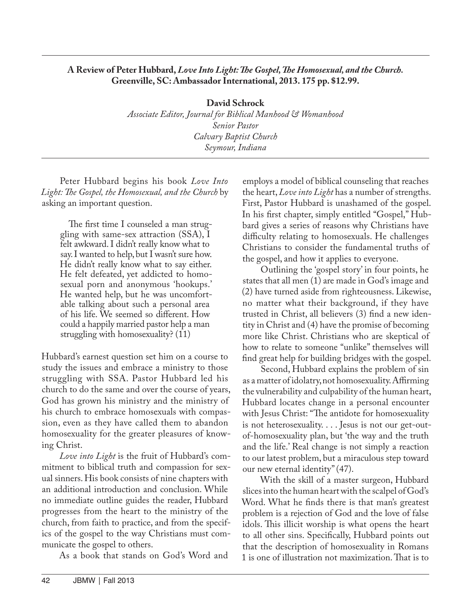## **A Review of Peter Hubbard,** *Love Into Light: The Gospel, The Homosexual, and the Church.*  **Greenville, SC: Ambassador International, 2013. 175 pp. \$12.99.**

**David Schrock** *Associate Editor, Journal for Biblical Manhood & Womanhood Senior Pastor Calvary Baptist Church Seymour, Indiana*

Peter Hubbard begins his book *Love Into Light: The Gospel, the Homosexual, and the Church* by asking an important question.

The first time I counseled a man struggling with same-sex attraction (SSA), I felt awkward. I didn't really know what to say. I wanted to help, but I wasn't sure how. He didn't really know what to say either. He felt defeated, yet addicted to homosexual porn and anonymous 'hookups.' He wanted help, but he was uncomfortable talking about such a personal area of his life. We seemed so different. How could a happily married pastor help a man struggling with homosexuality? (11)

Hubbard's earnest question set him on a course to study the issues and embrace a ministry to those struggling with SSA. Pastor Hubbard led his church to do the same and over the course of years, God has grown his ministry and the ministry of his church to embrace homosexuals with compassion, even as they have called them to abandon homosexuality for the greater pleasures of knowing Christ.

*Love into Light* is the fruit of Hubbard's commitment to biblical truth and compassion for sexual sinners. His book consists of nine chapters with an additional introduction and conclusion. While no immediate outline guides the reader, Hubbard progresses from the heart to the ministry of the church, from faith to practice, and from the specifics of the gospel to the way Christians must communicate the gospel to others.

As a book that stands on God's Word and

employs a model of biblical counseling that reaches the heart, *Love into Light* has a number of strengths. First, Pastor Hubbard is unashamed of the gospel. In his first chapter, simply entitled "Gospel," Hubbard gives a series of reasons why Christians have difficulty relating to homosexuals. He challenges Christians to consider the fundamental truths of the gospel, and how it applies to everyone.

Outlining the 'gospel story' in four points, he states that all men (1) are made in God's image and (2) have turned aside from righteousness. Likewise, no matter what their background, if they have trusted in Christ, all believers (3) find a new identity in Christ and (4) have the promise of becoming more like Christ. Christians who are skeptical of how to relate to someone "unlike" themselves will find great help for building bridges with the gospel.

Second, Hubbard explains the problem of sin as a matter of idolatry, not homosexuality. Affirming the vulnerability and culpability of the human heart, Hubbard locates change in a personal encounter with Jesus Christ: "The antidote for homosexuality is not heterosexuality. . . . Jesus is not our get-outof-homosexuality plan, but 'the way and the truth and the life.' Real change is not simply a reaction to our latest problem, but a miraculous step toward our new eternal identity" (47).

With the skill of a master surgeon, Hubbard slices into the human heart with the scalpel of God's Word. What he finds there is that man's greatest problem is a rejection of God and the love of false idols. This illicit worship is what opens the heart to all other sins. Specifically, Hubbard points out that the description of homosexuality in Romans 1 is one of illustration not maximization. That is to